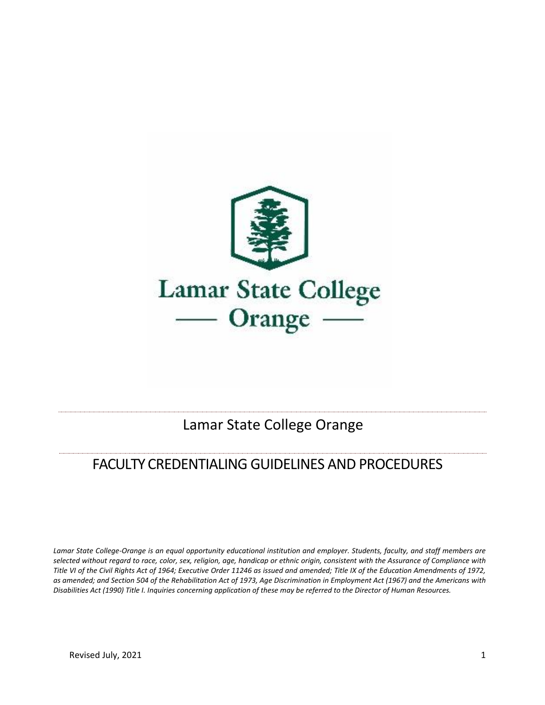

## Lamar State College Orange

# FACULTY CREDENTIALING GUIDELINES AND PROCEDURES

*Lamar State College-Orange is an equal opportunity educational institution and employer. Students, faculty, and staff members are selected without regard to race, color, sex, religion, age, handicap or ethnic origin, consistent with the Assurance of Compliance with Title VI of the Civil Rights Act of 1964; Executive Order 11246 as issued and amended; Title IX of the Education Amendments of 1972, as amended; and Section 504 of the Rehabilitation Act of 1973, Age Discrimination in Employment Act (1967) and the Americans with Disabilities Act (1990) Title I. Inquiries concerning application of these may be referred to the Director of Human Resources.*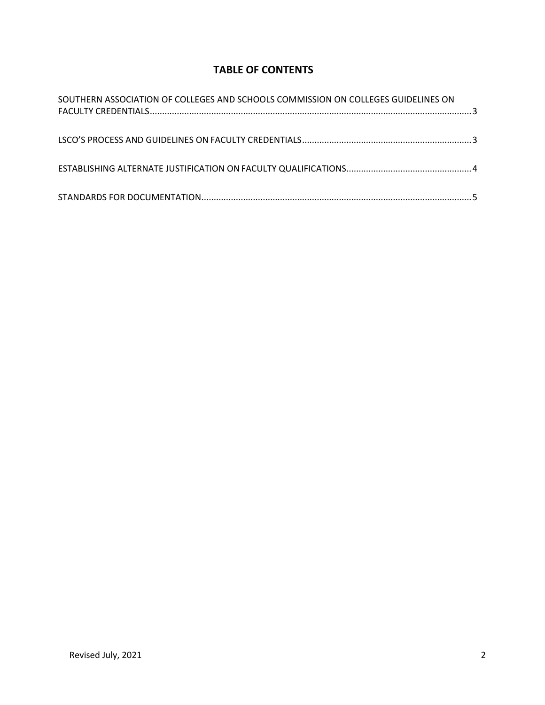### **TABLE OF CONTENTS**

| SOUTHERN ASSOCIATION OF COLLEGES AND SCHOOLS COMMISSION ON COLLEGES GUIDELINES ON |  |
|-----------------------------------------------------------------------------------|--|
|                                                                                   |  |
|                                                                                   |  |
|                                                                                   |  |
|                                                                                   |  |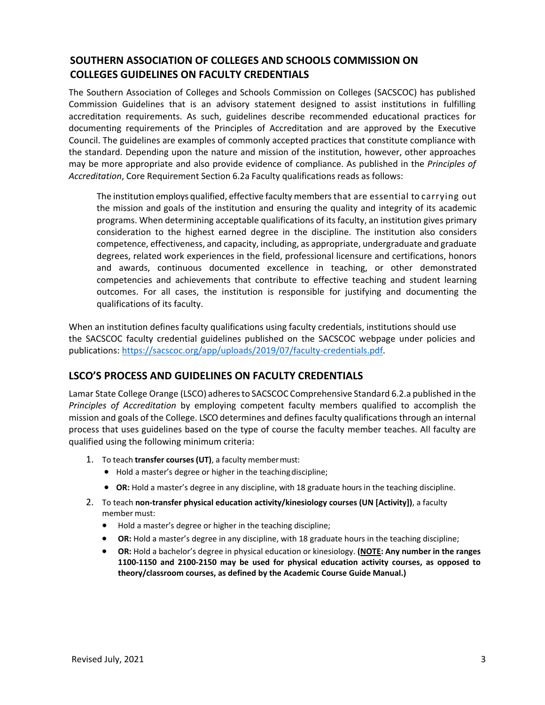#### <span id="page-2-0"></span>**SOUTHERN ASSOCIATION OF COLLEGES AND SCHOOLS COMMISSION ON COLLEGES GUIDELINES ON FACULTY CREDENTIALS**

The Southern Association of Colleges and Schools Commission on Colleges (SACSCOC) has published Commission Guidelines that is an advisory statement designed to assist institutions in fulfilling accreditation requirements. As such, guidelines describe recommended educational practices for documenting requirements of the Principles of Accreditation and are approved by the Executive Council. The guidelines are examples of commonly accepted practices that constitute compliance with the standard. Depending upon the nature and mission of the institution, however, other approaches may be more appropriate and also provide evidence of compliance. As published in the *Principles of Accreditation*, Core Requirement Section 6.2a Faculty qualifications reads as follows:

The institution employs qualified, effective faculty members that are essential to carrying out the mission and goals of the institution and ensuring the quality and integrity of its academic programs. When determining acceptable qualifications of its faculty, an institution gives primary consideration to the highest earned degree in the discipline. The institution also considers competence, effectiveness, and capacity, including, as appropriate, undergraduate and graduate degrees, related work experiences in the field, professional licensure and certifications, honors and awards, continuous documented excellence in teaching, or other demonstrated competencies and achievements that contribute to effective teaching and student learning outcomes. For all cases, the institution is responsible for justifying and documenting the qualifications of its faculty.

<span id="page-2-1"></span>When an institution defines faculty qualifications using faculty credentials, institutions should use the SACSCOC faculty credential guidelines published on the SACSCOC webpage under policies and publications: [https://sacscoc.org/app/uploads/2019/07/faculty-credentials.pdf.](https://sacscoc.org/app/uploads/2019/07/faculty-credentials.pdf)

#### **LSCO'S PROCESS AND GUIDELINES ON FACULTY CREDENTIALS**

Lamar State College Orange (LSCO) adheresto SACSCOC Comprehensive Standard 6.2.a published in the *Principles of Accreditation* by employing competent faculty members qualified to accomplish the mission and goals of the College. LSCOdetermines and defines faculty qualifications through an internal process that uses guidelines based on the type of course the faculty member teaches. All faculty are qualified using the following minimum criteria:

- 1. To teach **transfer courses(UT)**, a faculty membermust:
	- Hold a master's degree or higher in the teachingdiscipline;
	- **OR:** Hold a master's degree in any discipline, with 18 graduate hours in the teaching discipline.
- 2. To teach **non-transfer physical education activity/kinesiology courses (UN [Activity])**, a faculty member must:
	- Hold a master's degree or higher in the teaching discipline;
	- **OR:** Hold a master's degree in any discipline, with 18 graduate hours in the teaching discipline;
	- **OR:** Hold a bachelor's degree in physical education or kinesiology. **(NOTE: Any number in the ranges 1100-1150 and 2100-2150 may be used for physical education activity courses, as opposed to theory/classroom courses, as defined by the Academic Course Guide Manual.)**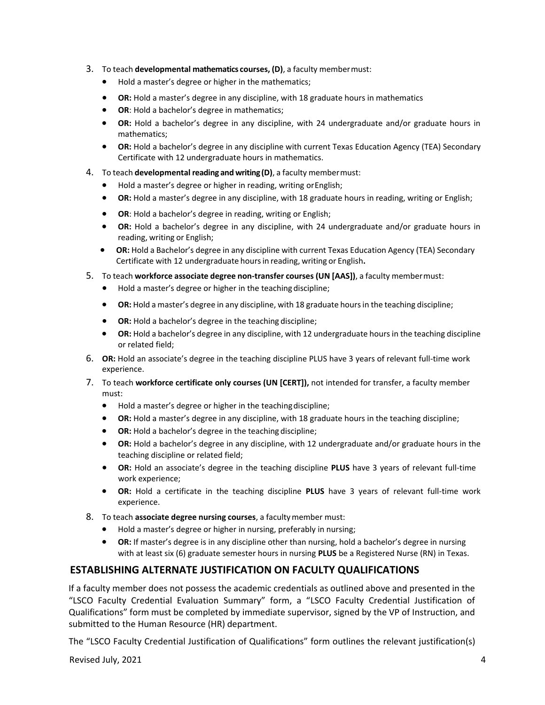- 3. To teach **developmental mathematics courses, (D)**, a faculty membermust:
	- Hold a master's degree or higher in the mathematics;
	- **OR:** Hold a master's degree in any discipline, with 18 graduate hours in mathematics
	- **OR**: Hold a bachelor's degree in mathematics;
	- **OR:** Hold a bachelor's degree in any discipline, with 24 undergraduate and/or graduate hours in mathematics;
	- **OR:** Hold a bachelor's degree in any discipline with current Texas Education Agency (TEA) Secondary Certificate with 12 undergraduate hours in mathematics.
- 4. To teach **developmental reading and writing(D)**, a faculty membermust:
	- Hold a master's degree or higher in reading, writing orEnglish;
	- **OR:** Hold a master's degree in any discipline, with 18 graduate hours in reading, writing or English;
	- **OR**: Hold a bachelor's degree in reading, writing or English;
	- **OR:** Hold a bachelor's degree in any discipline, with 24 undergraduate and/or graduate hours in reading, writing or English;
	- **OR:** Hold a Bachelor's degree in any discipline with current Texas Education Agency (TEA) Secondary Certificate with 12 undergraduate hoursin reading, writing or English**.**
- 5. To teach **workforce associate degree non-transfer courses (UN [AAS])**, a faculty membermust:
	- Hold a master's degree or higher in the teachingdiscipline;
	- **OR:** Hold a master's degree in any discipline, with 18 graduate hoursin the teaching discipline;
	- **OR:** Hold a bachelor's degree in the teaching discipline;
	- **OR:** Hold a bachelor's degree in any discipline, with 12 undergraduate hoursin the teaching discipline or related field;
- 6. **OR:** Hold an associate's degree in the teaching discipline PLUS have 3 years of relevant full-time work experience.
- 7. To teach **workforce certificate only courses (UN [CERT]),** not intended for transfer, a faculty member must:
	- Hold a master's degree or higher in the teachingdiscipline;
	- **OR:** Hold a master's degree in any discipline, with 18 graduate hours in the teaching discipline;
	- **OR:** Hold a bachelor's degree in the teaching discipline;
	- **OR:** Hold a bachelor's degree in any discipline, with 12 undergraduate and/or graduate hours in the teaching discipline or related field;
	- **OR:** Hold an associate's degree in the teaching discipline **PLUS** have 3 years of relevant full-time work experience;
	- **OR:** Hold a certificate in the teaching discipline **PLUS** have 3 years of relevant full-time work experience.
- 8. To teach **associate degree nursing courses**, a facultymember must:
	- Hold a master's degree or higher in nursing, preferably in nursing;
	- **OR:** If master's degree is in any discipline other than nursing, hold a bachelor's degree in nursing with at least six (6) graduate semester hours in nursing **PLUS** be a Registered Nurse (RN) in Texas.

#### <span id="page-3-0"></span>**ESTABLISHING ALTERNATE JUSTIFICATION ON FACULTY QUALIFICATIONS**

If a faculty member does not possess the academic credentials as outlined above and presented in the "LSCO Faculty Credential Evaluation Summary" form, a "LSCO Faculty Credential Justification of Qualifications" form must be completed by immediate supervisor, signed by the VP of Instruction, and submitted to the Human Resource (HR) department.

The "LSCO Faculty Credential Justification of Qualifications" form outlines the relevant justification(s)

Revised July, 2021 4